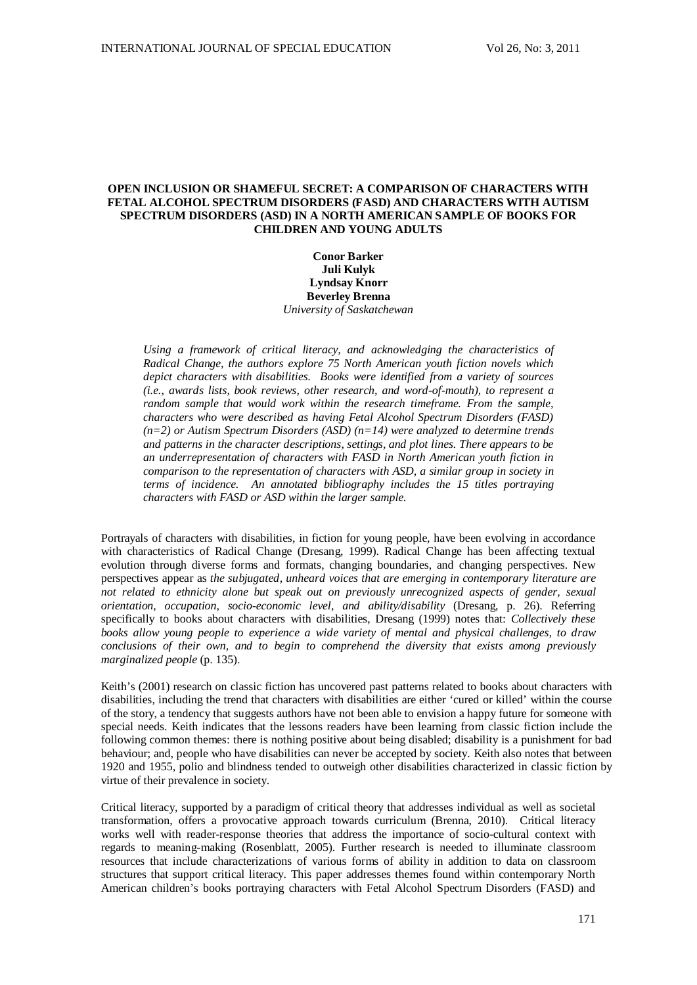# **OPEN INCLUSION OR SHAMEFUL SECRET: A COMPARISON OF CHARACTERS WITH FETAL ALCOHOL SPECTRUM DISORDERS (FASD) AND CHARACTERS WITH AUTISM SPECTRUM DISORDERS (ASD) IN A NORTH AMERICAN SAMPLE OF BOOKS FOR CHILDREN AND YOUNG ADULTS**

## **Conor Barker Juli Kulyk Lyndsay Knorr Beverley Brenna** *University of Saskatchewan*

*Using a framework of critical literacy, and acknowledging the characteristics of Radical Change, the authors explore 75 North American youth fiction novels which depict characters with disabilities. Books were identified from a variety of sources (i.e., awards lists, book reviews, other research, and word-of-mouth), to represent a random sample that would work within the research timeframe. From the sample, characters who were described as having Fetal Alcohol Spectrum Disorders (FASD) (n=2) or Autism Spectrum Disorders (ASD) (n=14) were analyzed to determine trends and patterns in the character descriptions, settings, and plot lines. There appears to be an underrepresentation of characters with FASD in North American youth fiction in comparison to the representation of characters with ASD, a similar group in society in terms of incidence. An annotated bibliography includes the 15 titles portraying characters with FASD or ASD within the larger sample.* 

Portrayals of characters with disabilities, in fiction for young people, have been evolving in accordance with characteristics of Radical Change (Dresang, 1999). Radical Change has been affecting textual evolution through diverse forms and formats, changing boundaries, and changing perspectives. New perspectives appear as *the subjugated, unheard voices that are emerging in contemporary literature are not related to ethnicity alone but speak out on previously unrecognized aspects of gender, sexual orientation, occupation, socio-economic level, and ability/disability* (Dresang, p. 26). Referring specifically to books about characters with disabilities, Dresang (1999) notes that: *Collectively these books allow young people to experience a wide variety of mental and physical challenges, to draw conclusions of their own, and to begin to comprehend the diversity that exists among previously marginalized people* (p. 135).

Keith's (2001) research on classic fiction has uncovered past patterns related to books about characters with disabilities, including the trend that characters with disabilities are either 'cured or killed' within the course of the story, a tendency that suggests authors have not been able to envision a happy future for someone with special needs. Keith indicates that the lessons readers have been learning from classic fiction include the following common themes: there is nothing positive about being disabled; disability is a punishment for bad behaviour; and, people who have disabilities can never be accepted by society. Keith also notes that between 1920 and 1955, polio and blindness tended to outweigh other disabilities characterized in classic fiction by virtue of their prevalence in society.

Critical literacy, supported by a paradigm of critical theory that addresses individual as well as societal transformation, offers a provocative approach towards curriculum (Brenna, 2010). Critical literacy works well with reader-response theories that address the importance of socio-cultural context with regards to meaning-making (Rosenblatt, 2005). Further research is needed to illuminate classroom resources that include characterizations of various forms of ability in addition to data on classroom structures that support critical literacy. This paper addresses themes found within contemporary North American children's books portraying characters with Fetal Alcohol Spectrum Disorders (FASD) and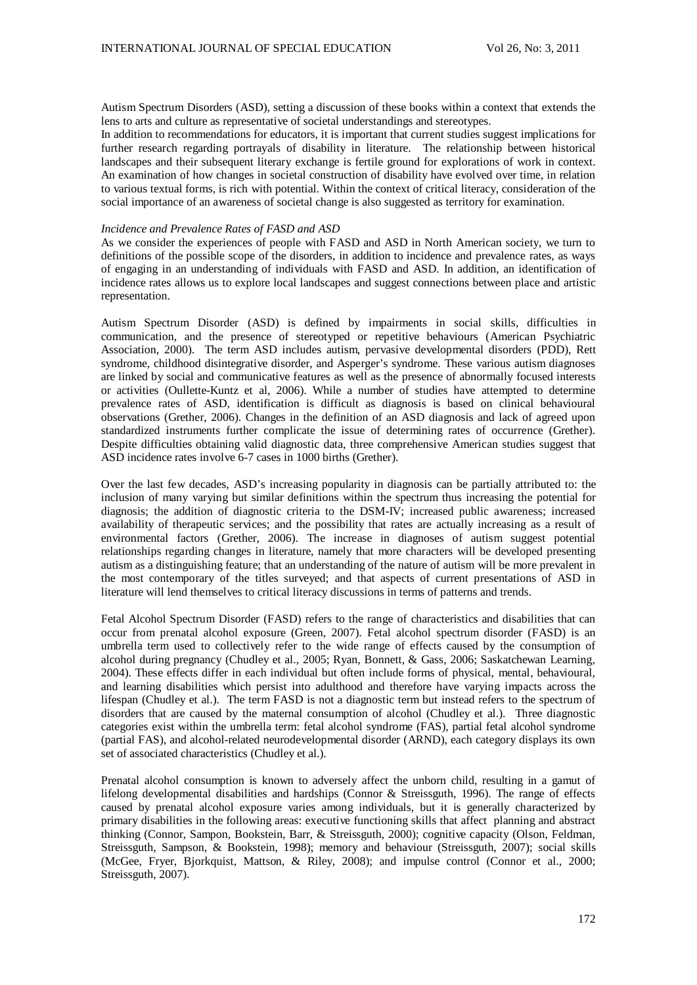Autism Spectrum Disorders (ASD), setting a discussion of these books within a context that extends the lens to arts and culture as representative of societal understandings and stereotypes.

In addition to recommendations for educators, it is important that current studies suggest implications for further research regarding portrayals of disability in literature. The relationship between historical landscapes and their subsequent literary exchange is fertile ground for explorations of work in context. An examination of how changes in societal construction of disability have evolved over time, in relation to various textual forms, is rich with potential. Within the context of critical literacy, consideration of the social importance of an awareness of societal change is also suggested as territory for examination.

#### *Incidence and Prevalence Rates of FASD and ASD*

As we consider the experiences of people with FASD and ASD in North American society, we turn to definitions of the possible scope of the disorders, in addition to incidence and prevalence rates, as ways of engaging in an understanding of individuals with FASD and ASD. In addition, an identification of incidence rates allows us to explore local landscapes and suggest connections between place and artistic representation.

Autism Spectrum Disorder (ASD) is defined by impairments in social skills, difficulties in communication, and the presence of stereotyped or repetitive behaviours (American Psychiatric Association, 2000). The term ASD includes autism, pervasive developmental disorders (PDD), Rett syndrome, childhood disintegrative disorder, and Asperger's syndrome. These various autism diagnoses are linked by social and communicative features as well as the presence of abnormally focused interests or activities (Oullette-Kuntz et al, 2006). While a number of studies have attempted to determine prevalence rates of ASD, identification is difficult as diagnosis is based on clinical behavioural observations (Grether, 2006). Changes in the definition of an ASD diagnosis and lack of agreed upon standardized instruments further complicate the issue of determining rates of occurrence (Grether). Despite difficulties obtaining valid diagnostic data, three comprehensive American studies suggest that ASD incidence rates involve 6-7 cases in 1000 births (Grether).

Over the last few decades, ASD's increasing popularity in diagnosis can be partially attributed to: the inclusion of many varying but similar definitions within the spectrum thus increasing the potential for diagnosis; the addition of diagnostic criteria to the DSM-IV; increased public awareness; increased availability of therapeutic services; and the possibility that rates are actually increasing as a result of environmental factors (Grether, 2006). The increase in diagnoses of autism suggest potential relationships regarding changes in literature, namely that more characters will be developed presenting autism as a distinguishing feature; that an understanding of the nature of autism will be more prevalent in the most contemporary of the titles surveyed; and that aspects of current presentations of ASD in literature will lend themselves to critical literacy discussions in terms of patterns and trends.

Fetal Alcohol Spectrum Disorder (FASD) refers to the range of characteristics and disabilities that can occur from prenatal alcohol exposure (Green, 2007). Fetal alcohol spectrum disorder (FASD) is an umbrella term used to collectively refer to the wide range of effects caused by the consumption of alcohol during pregnancy (Chudley et al., 2005; Ryan, Bonnett, & Gass, 2006; Saskatchewan Learning, 2004). These effects differ in each individual but often include forms of physical, mental, behavioural, and learning disabilities which persist into adulthood and therefore have varying impacts across the lifespan (Chudley et al.). The term FASD is not a diagnostic term but instead refers to the spectrum of disorders that are caused by the maternal consumption of alcohol (Chudley et al.). Three diagnostic categories exist within the umbrella term: fetal alcohol syndrome (FAS), partial fetal alcohol syndrome (partial FAS), and alcohol-related neurodevelopmental disorder (ARND), each category displays its own set of associated characteristics (Chudley et al.).

Prenatal alcohol consumption is known to adversely affect the unborn child, resulting in a gamut of lifelong developmental disabilities and hardships (Connor & Streissguth, 1996). The range of effects caused by prenatal alcohol exposure varies among individuals, but it is generally characterized by primary disabilities in the following areas: executive functioning skills that affect planning and abstract thinking (Connor, Sampon, Bookstein, Barr, & Streissguth, 2000); cognitive capacity (Olson, Feldman, Streissguth, Sampson, & Bookstein, 1998); memory and behaviour (Streissguth, 2007); social skills (McGee, Fryer, Bjorkquist, Mattson, & Riley, 2008); and impulse control (Connor et al., 2000; Streissguth, 2007).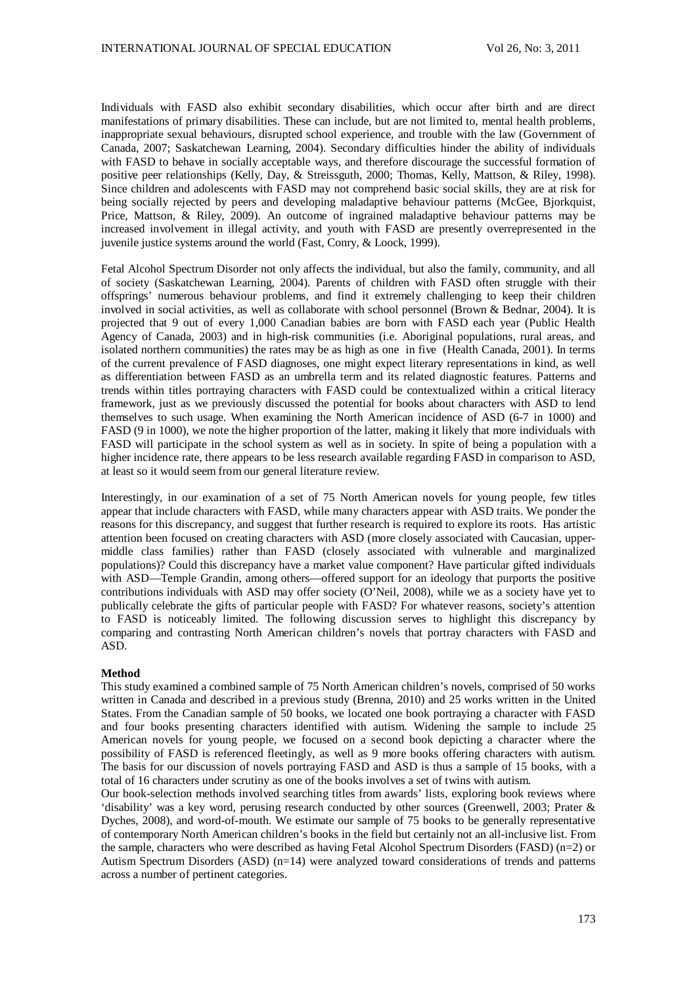Individuals with FASD also exhibit secondary disabilities, which occur after birth and are direct manifestations of primary disabilities. These can include, but are not limited to, mental health problems, inappropriate sexual behaviours, disrupted school experience, and trouble with the law (Government of Canada, 2007; Saskatchewan Learning, 2004). Secondary difficulties hinder the ability of individuals with FASD to behave in socially acceptable ways, and therefore discourage the successful formation of positive peer relationships (Kelly, Day, & Streissguth, 2000; Thomas, Kelly, Mattson, & Riley, 1998). Since children and adolescents with FASD may not comprehend basic social skills, they are at risk for being socially rejected by peers and developing maladaptive behaviour patterns (McGee, Bjorkquist, Price, Mattson, & Riley, 2009). An outcome of ingrained maladaptive behaviour patterns may be increased involvement in illegal activity, and youth with FASD are presently overrepresented in the juvenile justice systems around the world (Fast, Conry, & Loock, 1999).

Fetal Alcohol Spectrum Disorder not only affects the individual, but also the family, community, and all of society (Saskatchewan Learning, 2004). Parents of children with FASD often struggle with their offsprings' numerous behaviour problems, and find it extremely challenging to keep their children involved in social activities, as well as collaborate with school personnel (Brown & Bednar, 2004). It is projected that 9 out of every 1,000 Canadian babies are born with FASD each year (Public Health Agency of Canada, 2003) and in high-risk communities (i.e. Aboriginal populations, rural areas, and isolated northern communities) the rates may be as high as one in five (Health Canada, 2001). In terms of the current prevalence of FASD diagnoses, one might expect literary representations in kind, as well as differentiation between FASD as an umbrella term and its related diagnostic features. Patterns and trends within titles portraying characters with FASD could be contextualized within a critical literacy framework, just as we previously discussed the potential for books about characters with ASD to lend themselves to such usage. When examining the North American incidence of ASD (6-7 in 1000) and FASD (9 in 1000), we note the higher proportion of the latter, making it likely that more individuals with FASD will participate in the school system as well as in society. In spite of being a population with a higher incidence rate, there appears to be less research available regarding FASD in comparison to ASD, at least so it would seem from our general literature review.

Interestingly, in our examination of a set of 75 North American novels for young people, few titles appear that include characters with FASD, while many characters appear with ASD traits. We ponder the reasons for this discrepancy, and suggest that further research is required to explore its roots. Has artistic attention been focused on creating characters with ASD (more closely associated with Caucasian, uppermiddle class families) rather than FASD (closely associated with vulnerable and marginalized populations)? Could this discrepancy have a market value component? Have particular gifted individuals with ASD—Temple Grandin, among others—offered support for an ideology that purports the positive contributions individuals with ASD may offer society (O'Neil, 2008), while we as a society have yet to publically celebrate the gifts of particular people with FASD? For whatever reasons, society's attention to FASD is noticeably limited. The following discussion serves to highlight this discrepancy by comparing and contrasting North American children's novels that portray characters with FASD and ASD.

#### **Method**

This study examined a combined sample of 75 North American children's novels, comprised of 50 works written in Canada and described in a previous study (Brenna, 2010) and 25 works written in the United States. From the Canadian sample of 50 books, we located one book portraying a character with FASD and four books presenting characters identified with autism. Widening the sample to include 25 American novels for young people, we focused on a second book depicting a character where the possibility of FASD is referenced fleetingly, as well as 9 more books offering characters with autism. The basis for our discussion of novels portraying FASD and ASD is thus a sample of 15 books, with a total of 16 characters under scrutiny as one of the books involves a set of twins with autism.

Our book-selection methods involved searching titles from awards' lists, exploring book reviews where 'disability' was a key word, perusing research conducted by other sources (Greenwell, 2003; Prater & Dyches, 2008), and word-of-mouth. We estimate our sample of 75 books to be generally representative of contemporary North American children's books in the field but certainly not an all-inclusive list. From the sample, characters who were described as having Fetal Alcohol Spectrum Disorders (FASD) (n=2) or Autism Spectrum Disorders (ASD) (n=14) were analyzed toward considerations of trends and patterns across a number of pertinent categories.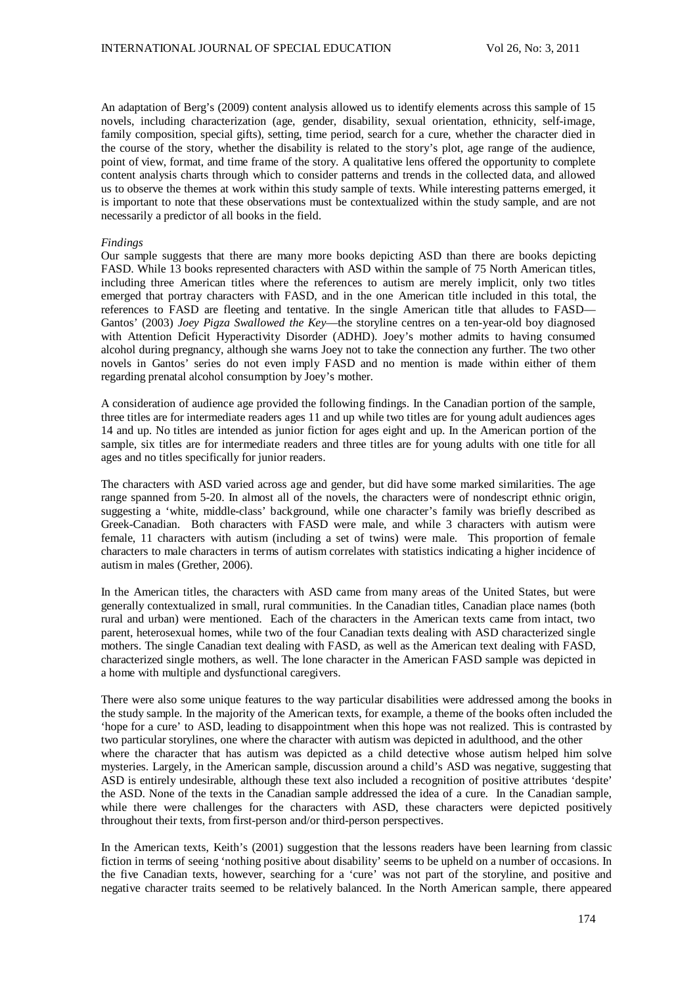An adaptation of Berg's (2009) content analysis allowed us to identify elements across this sample of 15 novels, including characterization (age, gender, disability, sexual orientation, ethnicity, self-image, family composition, special gifts), setting, time period, search for a cure, whether the character died in the course of the story, whether the disability is related to the story's plot, age range of the audience, point of view, format, and time frame of the story. A qualitative lens offered the opportunity to complete content analysis charts through which to consider patterns and trends in the collected data, and allowed us to observe the themes at work within this study sample of texts. While interesting patterns emerged, it is important to note that these observations must be contextualized within the study sample, and are not necessarily a predictor of all books in the field.

#### *Findings*

Our sample suggests that there are many more books depicting ASD than there are books depicting FASD. While 13 books represented characters with ASD within the sample of 75 North American titles, including three American titles where the references to autism are merely implicit, only two titles emerged that portray characters with FASD, and in the one American title included in this total, the references to FASD are fleeting and tentative. In the single American title that alludes to FASD— Gantos' (2003) *Joey Pigza Swallowed the Key*—the storyline centres on a ten-year-old boy diagnosed with Attention Deficit Hyperactivity Disorder (ADHD). Joey's mother admits to having consumed alcohol during pregnancy, although she warns Joey not to take the connection any further. The two other novels in Gantos' series do not even imply FASD and no mention is made within either of them regarding prenatal alcohol consumption by Joey's mother.

A consideration of audience age provided the following findings. In the Canadian portion of the sample, three titles are for intermediate readers ages 11 and up while two titles are for young adult audiences ages 14 and up. No titles are intended as junior fiction for ages eight and up. In the American portion of the sample, six titles are for intermediate readers and three titles are for young adults with one title for all ages and no titles specifically for junior readers.

The characters with ASD varied across age and gender, but did have some marked similarities. The age range spanned from 5-20. In almost all of the novels, the characters were of nondescript ethnic origin, suggesting a 'white, middle-class' background, while one character's family was briefly described as Greek-Canadian. Both characters with FASD were male, and while 3 characters with autism were female, 11 characters with autism (including a set of twins) were male. This proportion of female characters to male characters in terms of autism correlates with statistics indicating a higher incidence of autism in males (Grether, 2006).

In the American titles, the characters with ASD came from many areas of the United States, but were generally contextualized in small, rural communities. In the Canadian titles, Canadian place names (both rural and urban) were mentioned. Each of the characters in the American texts came from intact, two parent, heterosexual homes, while two of the four Canadian texts dealing with ASD characterized single mothers. The single Canadian text dealing with FASD, as well as the American text dealing with FASD, characterized single mothers, as well. The lone character in the American FASD sample was depicted in a home with multiple and dysfunctional caregivers.

There were also some unique features to the way particular disabilities were addressed among the books in the study sample. In the majority of the American texts, for example, a theme of the books often included the 'hope for a cure' to ASD, leading to disappointment when this hope was not realized. This is contrasted by two particular storylines, one where the character with autism was depicted in adulthood, and the other where the character that has autism was depicted as a child detective whose autism helped him solve mysteries. Largely, in the American sample, discussion around a child's ASD was negative, suggesting that ASD is entirely undesirable, although these text also included a recognition of positive attributes 'despite' the ASD. None of the texts in the Canadian sample addressed the idea of a cure. In the Canadian sample, while there were challenges for the characters with ASD, these characters were depicted positively throughout their texts, from first-person and/or third-person perspectives.

In the American texts, Keith's (2001) suggestion that the lessons readers have been learning from classic fiction in terms of seeing 'nothing positive about disability' seems to be upheld on a number of occasions. In the five Canadian texts, however, searching for a 'cure' was not part of the storyline, and positive and negative character traits seemed to be relatively balanced. In the North American sample, there appeared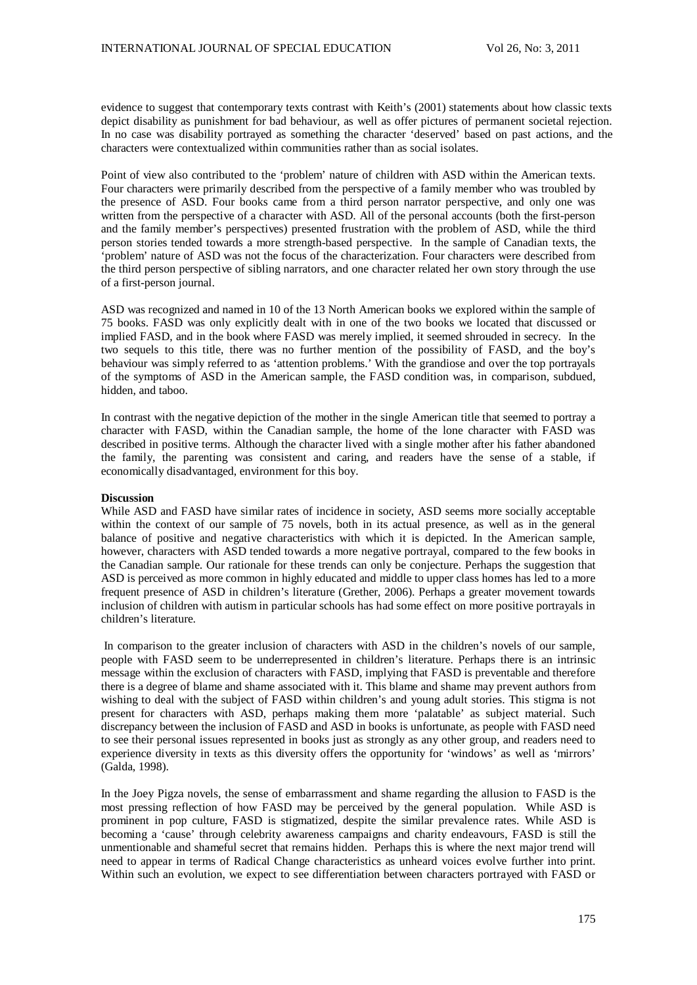evidence to suggest that contemporary texts contrast with Keith's (2001) statements about how classic texts depict disability as punishment for bad behaviour, as well as offer pictures of permanent societal rejection. In no case was disability portrayed as something the character 'deserved' based on past actions, and the characters were contextualized within communities rather than as social isolates.

Point of view also contributed to the 'problem' nature of children with ASD within the American texts. Four characters were primarily described from the perspective of a family member who was troubled by the presence of ASD. Four books came from a third person narrator perspective, and only one was written from the perspective of a character with ASD. All of the personal accounts (both the first-person and the family member's perspectives) presented frustration with the problem of ASD, while the third person stories tended towards a more strength-based perspective. In the sample of Canadian texts, the 'problem' nature of ASD was not the focus of the characterization. Four characters were described from the third person perspective of sibling narrators, and one character related her own story through the use of a first-person journal.

ASD was recognized and named in 10 of the 13 North American books we explored within the sample of 75 books. FASD was only explicitly dealt with in one of the two books we located that discussed or implied FASD, and in the book where FASD was merely implied, it seemed shrouded in secrecy. In the two sequels to this title, there was no further mention of the possibility of FASD, and the boy's behaviour was simply referred to as 'attention problems.' With the grandiose and over the top portrayals of the symptoms of ASD in the American sample, the FASD condition was, in comparison, subdued, hidden, and taboo.

In contrast with the negative depiction of the mother in the single American title that seemed to portray a character with FASD, within the Canadian sample, the home of the lone character with FASD was described in positive terms. Although the character lived with a single mother after his father abandoned the family, the parenting was consistent and caring, and readers have the sense of a stable, if economically disadvantaged, environment for this boy.

#### **Discussion**

While ASD and FASD have similar rates of incidence in society, ASD seems more socially acceptable within the context of our sample of 75 novels, both in its actual presence, as well as in the general balance of positive and negative characteristics with which it is depicted. In the American sample, however, characters with ASD tended towards a more negative portrayal, compared to the few books in the Canadian sample. Our rationale for these trends can only be conjecture. Perhaps the suggestion that ASD is perceived as more common in highly educated and middle to upper class homes has led to a more frequent presence of ASD in children's literature (Grether, 2006). Perhaps a greater movement towards inclusion of children with autism in particular schools has had some effect on more positive portrayals in children's literature.

In comparison to the greater inclusion of characters with ASD in the children's novels of our sample, people with FASD seem to be underrepresented in children's literature. Perhaps there is an intrinsic message within the exclusion of characters with FASD, implying that FASD is preventable and therefore there is a degree of blame and shame associated with it. This blame and shame may prevent authors from wishing to deal with the subject of FASD within children's and young adult stories. This stigma is not present for characters with ASD, perhaps making them more 'palatable' as subject material. Such discrepancy between the inclusion of FASD and ASD in books is unfortunate, as people with FASD need to see their personal issues represented in books just as strongly as any other group, and readers need to experience diversity in texts as this diversity offers the opportunity for 'windows' as well as 'mirrors' (Galda, 1998).

In the Joey Pigza novels, the sense of embarrassment and shame regarding the allusion to FASD is the most pressing reflection of how FASD may be perceived by the general population. While ASD is prominent in pop culture, FASD is stigmatized, despite the similar prevalence rates. While ASD is becoming a 'cause' through celebrity awareness campaigns and charity endeavours, FASD is still the unmentionable and shameful secret that remains hidden. Perhaps this is where the next major trend will need to appear in terms of Radical Change characteristics as unheard voices evolve further into print. Within such an evolution, we expect to see differentiation between characters portrayed with FASD or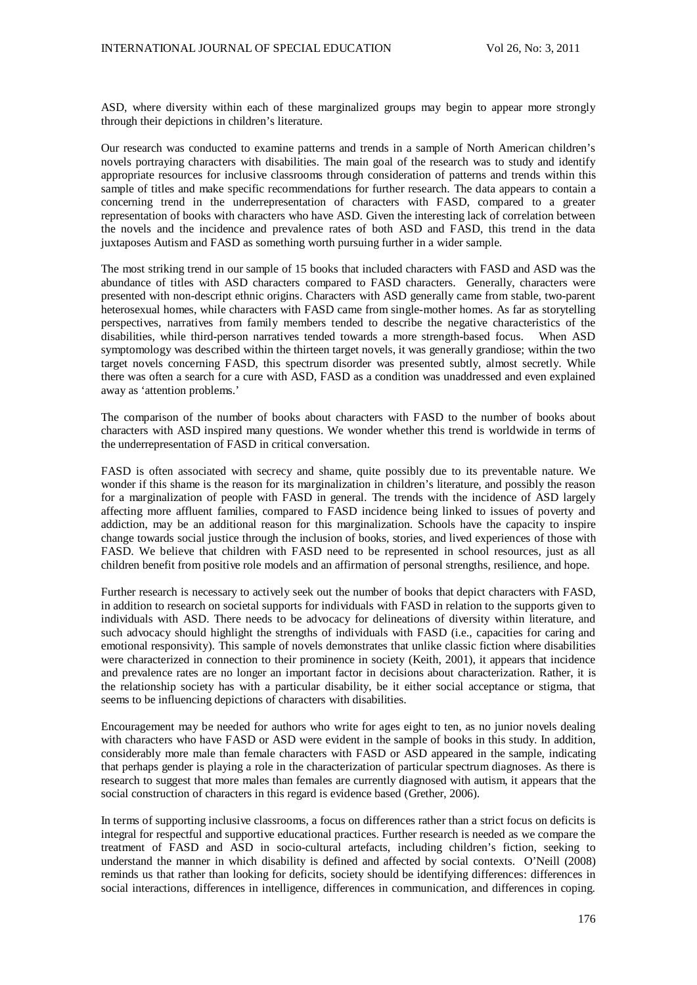ASD, where diversity within each of these marginalized groups may begin to appear more strongly through their depictions in children's literature.

Our research was conducted to examine patterns and trends in a sample of North American children's novels portraying characters with disabilities. The main goal of the research was to study and identify appropriate resources for inclusive classrooms through consideration of patterns and trends within this sample of titles and make specific recommendations for further research. The data appears to contain a concerning trend in the underrepresentation of characters with FASD, compared to a greater representation of books with characters who have ASD. Given the interesting lack of correlation between the novels and the incidence and prevalence rates of both ASD and FASD, this trend in the data juxtaposes Autism and FASD as something worth pursuing further in a wider sample.

The most striking trend in our sample of 15 books that included characters with FASD and ASD was the abundance of titles with ASD characters compared to FASD characters. Generally, characters were presented with non-descript ethnic origins. Characters with ASD generally came from stable, two-parent heterosexual homes, while characters with FASD came from single-mother homes. As far as storytelling perspectives, narratives from family members tended to describe the negative characteristics of the disabilities, while third-person narratives tended towards a more strength-based focus. When ASD symptomology was described within the thirteen target novels, it was generally grandiose; within the two target novels concerning FASD, this spectrum disorder was presented subtly, almost secretly. While there was often a search for a cure with ASD, FASD as a condition was unaddressed and even explained away as 'attention problems.'

The comparison of the number of books about characters with FASD to the number of books about characters with ASD inspired many questions. We wonder whether this trend is worldwide in terms of the underrepresentation of FASD in critical conversation.

FASD is often associated with secrecy and shame, quite possibly due to its preventable nature. We wonder if this shame is the reason for its marginalization in children's literature, and possibly the reason for a marginalization of people with FASD in general. The trends with the incidence of ASD largely affecting more affluent families, compared to FASD incidence being linked to issues of poverty and addiction, may be an additional reason for this marginalization. Schools have the capacity to inspire change towards social justice through the inclusion of books, stories, and lived experiences of those with FASD. We believe that children with FASD need to be represented in school resources, just as all children benefit from positive role models and an affirmation of personal strengths, resilience, and hope.

Further research is necessary to actively seek out the number of books that depict characters with FASD, in addition to research on societal supports for individuals with FASD in relation to the supports given to individuals with ASD. There needs to be advocacy for delineations of diversity within literature, and such advocacy should highlight the strengths of individuals with FASD (i.e., capacities for caring and emotional responsivity). This sample of novels demonstrates that unlike classic fiction where disabilities were characterized in connection to their prominence in society (Keith, 2001), it appears that incidence and prevalence rates are no longer an important factor in decisions about characterization. Rather, it is the relationship society has with a particular disability, be it either social acceptance or stigma, that seems to be influencing depictions of characters with disabilities.

Encouragement may be needed for authors who write for ages eight to ten, as no junior novels dealing with characters who have FASD or ASD were evident in the sample of books in this study. In addition, considerably more male than female characters with FASD or ASD appeared in the sample, indicating that perhaps gender is playing a role in the characterization of particular spectrum diagnoses. As there is research to suggest that more males than females are currently diagnosed with autism, it appears that the social construction of characters in this regard is evidence based (Grether, 2006).

In terms of supporting inclusive classrooms, a focus on differences rather than a strict focus on deficits is integral for respectful and supportive educational practices. Further research is needed as we compare the treatment of FASD and ASD in socio-cultural artefacts, including children's fiction, seeking to understand the manner in which disability is defined and affected by social contexts. O'Neill (2008) reminds us that rather than looking for deficits, society should be identifying differences: differences in social interactions, differences in intelligence, differences in communication, and differences in coping.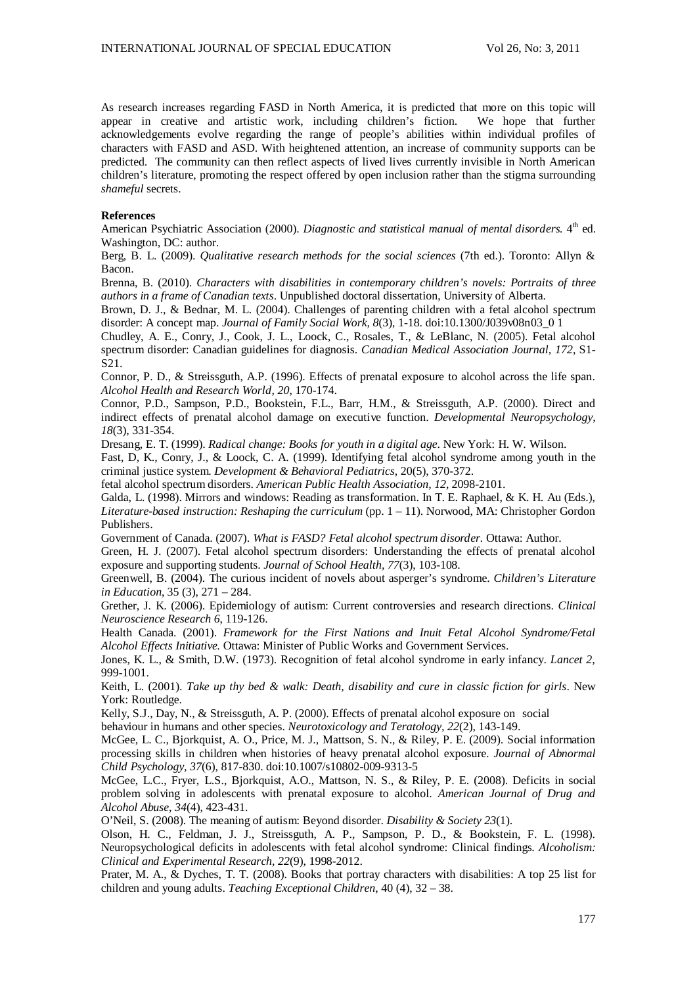As research increases regarding FASD in North America, it is predicted that more on this topic will appear in creative and artistic work, including children's fiction. We hope that further appear in creative and artistic work, including children's fiction. acknowledgements evolve regarding the range of people's abilities within individual profiles of characters with FASD and ASD. With heightened attention, an increase of community supports can be predicted. The community can then reflect aspects of lived lives currently invisible in North American children's literature, promoting the respect offered by open inclusion rather than the stigma surrounding *shameful* secrets.

#### **References**

American Psychiatric Association (2000). *Diagnostic and statistical manual of mental disorders*.  $4^{\text{th}}$  ed. Washington, DC: author.

Berg, B. L. (2009). *Qualitative research methods for the social sciences* (7th ed.). Toronto: Allyn & Bacon.

Brenna, B. (2010). *Characters with disabilities in contemporary children's novels: Portraits of three authors in a frame of Canadian texts*. Unpublished doctoral dissertation, University of Alberta.

Brown, D. J., & Bednar, M. L. (2004). Challenges of parenting children with a fetal alcohol spectrum disorder: A concept map. *Journal of Family Social Work, 8*(3), 1-18. doi:10.1300/J039v08n03\_0 1

Chudley, A. E., Conry, J., Cook, J. L., Loock, C., Rosales, T., & LeBlanc, N. (2005). Fetal alcohol spectrum disorder: Canadian guidelines for diagnosis. *Canadian Medical Association Journal, 172*, S1- S21.

Connor, P. D., & Streissguth, A.P. (1996). Effects of prenatal exposure to alcohol across the life span. *Alcohol Health and Research World, 20*, 170-174.

Connor, P.D., Sampson, P.D., Bookstein, F.L., Barr, H.M., & Streissguth, A.P. (2000). Direct and indirect effects of prenatal alcohol damage on executive function. *Developmental Neuropsychology, 18*(3), 331-354.

Dresang, E. T. (1999). *Radical change: Books for youth in a digital age*. New York: H. W. Wilson.

Fast, D, K., Conry, J., & Loock, C. A. (1999). Identifying fetal alcohol syndrome among youth in the criminal justice system. *Development & Behavioral Pediatrics,* 20(5), 370-372.

fetal alcohol spectrum disorders. *American Public Health Association, 12*, 2098-2101.

Galda, L. (1998). Mirrors and windows: Reading as transformation. In T. E. Raphael, & K. H. Au (Eds.), *Literature-based instruction: Reshaping the curriculum* (pp. 1 – 11). Norwood, MA: Christopher Gordon Publishers.

Government of Canada. (2007). *What is FASD? Fetal alcohol spectrum disorder.* Ottawa: Author.

Green, H. J. (2007). Fetal alcohol spectrum disorders: Understanding the effects of prenatal alcohol exposure and supporting students. *Journal of School Health, 77*(3), 103-108.

Greenwell, B. (2004). The curious incident of novels about asperger's syndrome. *Children's Literature in Education*, 35 (3), 271 – 284.

Grether, J. K. (2006). Epidemiology of autism: Current controversies and research directions. *Clinical Neuroscience Research 6*, 119-126.

Health Canada. (2001). *Framework for the First Nations and Inuit Fetal Alcohol Syndrome/Fetal Alcohol Effects Initiative.* Ottawa: Minister of Public Works and Government Services.

Jones, K. L., & Smith, D.W. (1973). Recognition of fetal alcohol syndrome in early infancy. *Lancet 2,*  999-1001.

Keith, L. (2001). *Take up thy bed & walk: Death, disability and cure in classic fiction for girls*. New York: Routledge.

Kelly, S.J., Day, N., & Streissguth, A. P. (2000). Effects of prenatal alcohol exposure on social behaviour in humans and other species. *Neurotoxicology and Teratology, 22*(2), 143-149.

McGee, L. C., Bjorkquist, A. O., Price, M. J., Mattson, S. N., & Riley, P. E. (2009). Social information processing skills in children when histories of heavy prenatal alcohol exposure. *Journal of Abnormal Child Psychology, 37*(6), 817-830. doi:10.1007/s10802-009-9313-5

McGee, L.C., Fryer, L.S., Bjorkquist, A.O., Mattson, N. S., & Riley, P. E. (2008). Deficits in social problem solving in adolescents with prenatal exposure to alcohol. *American Journal of Drug and Alcohol Abuse, 34*(4), 423-431.

O'Neil, S. (2008). The meaning of autism: Beyond disorder. *Disability & Society 23*(1).

Olson, H. C., Feldman, J. J., Streissguth, A. P., Sampson, P. D., & Bookstein, F. L. (1998). Neuropsychological deficits in adolescents with fetal alcohol syndrome: Clinical findings. *Alcoholism: Clinical and Experimental Research, 22*(9), 1998-2012.

Prater, M. A., & Dyches, T. T. (2008). Books that portray characters with disabilities: A top 25 list for children and young adults. *Teaching Exceptional Children*, 40 (4), 32 – 38.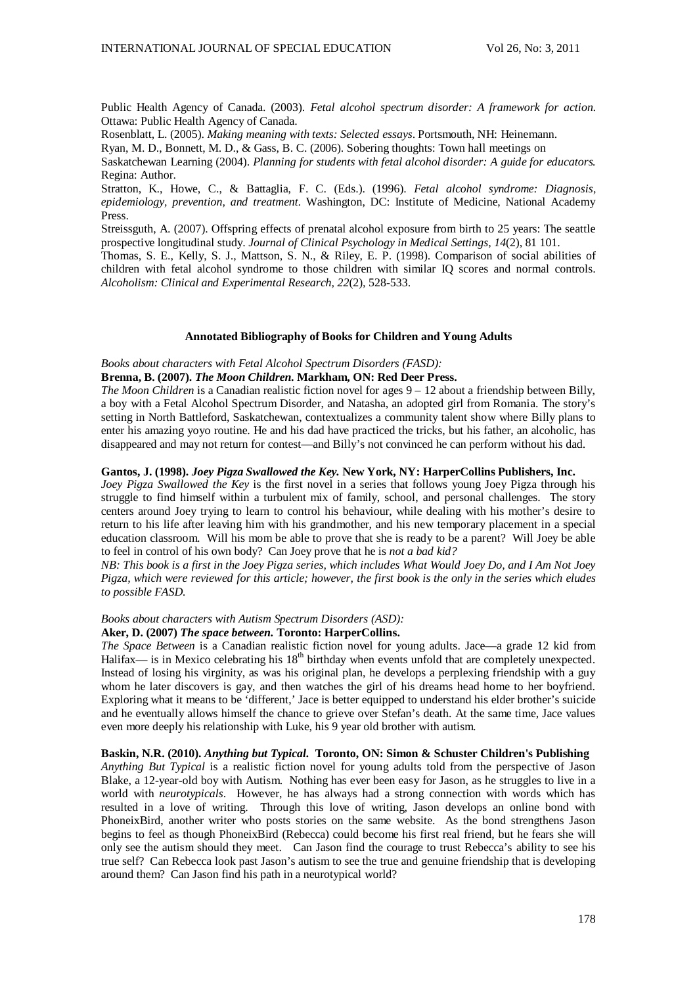Public Health Agency of Canada. (2003). *Fetal alcohol spectrum disorder: A framework for action.*  Ottawa: Public Health Agency of Canada.

Rosenblatt, L. (2005). *Making meaning with texts: Selected essays*. Portsmouth, NH: Heinemann.

Ryan, M. D., Bonnett, M. D., & Gass, B. C. (2006). Sobering thoughts: Town hall meetings on

Saskatchewan Learning (2004). *Planning for students with fetal alcohol disorder: A guide for educators.* Regina: Author.

Stratton, K., Howe, C., & Battaglia, F. C. (Eds.). (1996). *Fetal alcohol syndrome: Diagnosis, epidemiology, prevention, and treatment.* Washington, DC: Institute of Medicine, National Academy Press.

Streissguth, A. (2007). Offspring effects of prenatal alcohol exposure from birth to 25 years: The seattle prospective longitudinal study. *Journal of Clinical Psychology in Medical Settings, 14*(2), 81 101.

Thomas, S. E., Kelly, S. J., Mattson, S. N., & Riley, E. P. (1998). Comparison of social abilities of children with fetal alcohol syndrome to those children with similar IQ scores and normal controls. *Alcoholism: Clinical and Experimental Research, 22*(2)*,* 528-533.

### **Annotated Bibliography of Books for Children and Young Adults**

#### *Books about characters with Fetal Alcohol Spectrum Disorders (FASD):*

#### **Brenna, B. (2007).** *The Moon Children***. Markham, ON: Red Deer Press.**

*The Moon Children* is a Canadian realistic fiction novel for ages 9 – 12 about a friendship between Billy, a boy with a Fetal Alcohol Spectrum Disorder, and Natasha, an adopted girl from Romania. The story's setting in North Battleford, Saskatchewan, contextualizes a community talent show where Billy plans to enter his amazing yoyo routine. He and his dad have practiced the tricks, but his father, an alcoholic, has disappeared and may not return for contest—and Billy's not convinced he can perform without his dad.

#### **Gantos, J. (1998).** *Joey Pigza Swallowed the Key.* **New York, NY: HarperCollins Publishers, Inc.**

*Joey Pigza Swallowed the Key* is the first novel in a series that follows young Joey Pigza through his struggle to find himself within a turbulent mix of family, school, and personal challenges. The story centers around Joey trying to learn to control his behaviour, while dealing with his mother's desire to return to his life after leaving him with his grandmother, and his new temporary placement in a special education classroom. Will his mom be able to prove that she is ready to be a parent? Will Joey be able to feel in control of his own body? Can Joey prove that he is *not a bad kid?*

*NB: This book is a first in the Joey Pigza series, which includes What Would Joey Do, and I Am Not Joey Pigza, which were reviewed for this article; however, the first book is the only in the series which eludes to possible FASD.* 

#### *Books about characters with Autism Spectrum Disorders (ASD):*

## **Aker, D. (2007)** *The space between***. Toronto: HarperCollins.**

*The Space Between* is a Canadian realistic fiction novel for young adults. Jace—a grade 12 kid from Halifax— is in Mexico celebrating his 18<sup>th</sup> birthday when events unfold that are completely unexpected. Instead of losing his virginity, as was his original plan, he develops a perplexing friendship with a guy whom he later discovers is gay, and then watches the girl of his dreams head home to her boyfriend. Exploring what it means to be 'different,' Jace is better equipped to understand his elder brother's suicide and he eventually allows himself the chance to grieve over Stefan's death. At the same time, Jace values even more deeply his relationship with Luke, his 9 year old brother with autism.

## **Baskin, N.R. (2010).** *Anything but Typical.* **Toronto, ON: Simon & Schuster Children's Publishing**

*Anything But Typical* is a realistic fiction novel for young adults told from the perspective of Jason Blake, a 12-year-old boy with Autism. Nothing has ever been easy for Jason, as he struggles to live in a world with *neurotypicals*. However, he has always had a strong connection with words which has resulted in a love of writing. Through this love of writing, Jason develops an online bond with PhoneixBird, another writer who posts stories on the same website. As the bond strengthens Jason begins to feel as though PhoneixBird (Rebecca) could become his first real friend, but he fears she will only see the autism should they meet. Can Jason find the courage to trust Rebecca's ability to see his true self? Can Rebecca look past Jason's autism to see the true and genuine friendship that is developing around them? Can Jason find his path in a neurotypical world?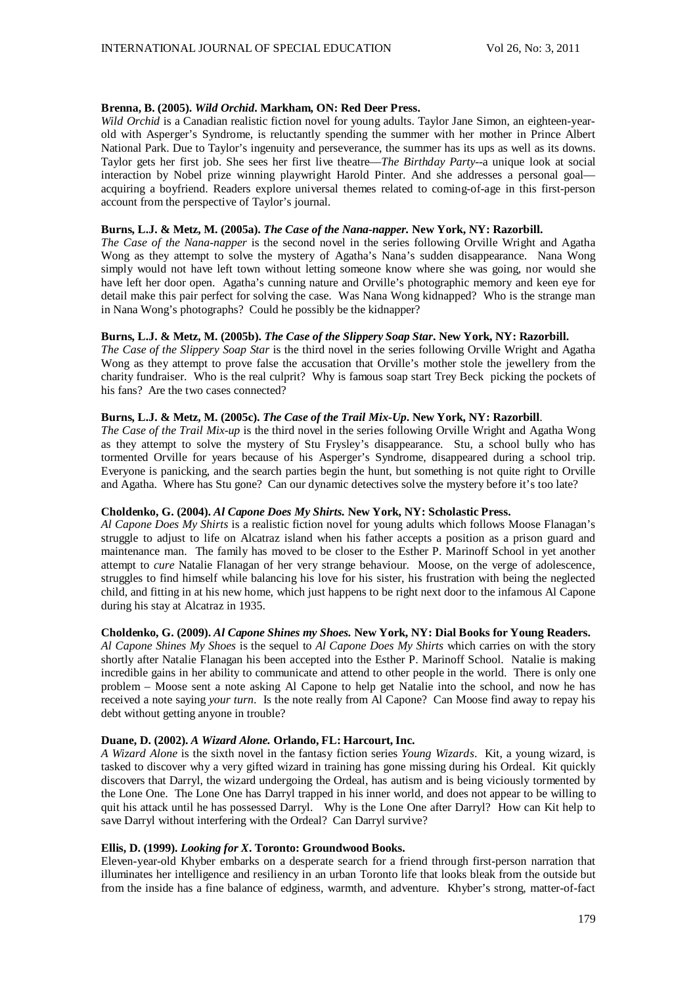## **Brenna, B. (2005).** *Wild Orchid***. Markham, ON: Red Deer Press.**

*Wild Orchid* is a Canadian realistic fiction novel for young adults. Taylor Jane Simon, an eighteen-yearold with Asperger's Syndrome, is reluctantly spending the summer with her mother in Prince Albert National Park. Due to Taylor's ingenuity and perseverance, the summer has its ups as well as its downs. Taylor gets her first job. She sees her first live theatre—*The Birthday Party*--a unique look at social interaction by Nobel prize winning playwright Harold Pinter. And she addresses a personal goal acquiring a boyfriend. Readers explore universal themes related to coming-of-age in this first-person account from the perspective of Taylor's journal.

# **Burns, L.J. & Metz, M. (2005a).** *The Case of the Nana-napper.* **New York, NY: Razorbill.**

*The Case of the Nana-napper* is the second novel in the series following Orville Wright and Agatha Wong as they attempt to solve the mystery of Agatha's Nana's sudden disappearance. Nana Wong simply would not have left town without letting someone know where she was going, nor would she have left her door open. Agatha's cunning nature and Orville's photographic memory and keen eye for detail make this pair perfect for solving the case. Was Nana Wong kidnapped? Who is the strange man in Nana Wong's photographs? Could he possibly be the kidnapper?

## **Burns, L.J. & Metz, M. (2005b).** *The Case of the Slippery Soap Star***. New York, NY: Razorbill.**

*The Case of the Slippery Soap Star* is the third novel in the series following Orville Wright and Agatha Wong as they attempt to prove false the accusation that Orville's mother stole the jewellery from the charity fundraiser. Who is the real culprit? Why is famous soap start Trey Beck picking the pockets of his fans? Are the two cases connected?

# **Burns, L.J. & Metz, M. (2005c).** *The Case of the Trail Mix-Up***. New York, NY: Razorbill**.

*The Case of the Trail Mix-up* is the third novel in the series following Orville Wright and Agatha Wong as they attempt to solve the mystery of Stu Frysley's disappearance. Stu, a school bully who has tormented Orville for years because of his Asperger's Syndrome, disappeared during a school trip. Everyone is panicking, and the search parties begin the hunt, but something is not quite right to Orville and Agatha. Where has Stu gone? Can our dynamic detectives solve the mystery before it's too late?

### **Choldenko, G. (2004).** *Al Capone Does My Shirts.* **New York, NY: Scholastic Press.**

*Al Capone Does My Shirts* is a realistic fiction novel for young adults which follows Moose Flanagan's struggle to adjust to life on Alcatraz island when his father accepts a position as a prison guard and maintenance man. The family has moved to be closer to the Esther P. Marinoff School in yet another attempt to *cure* Natalie Flanagan of her very strange behaviour. Moose, on the verge of adolescence, struggles to find himself while balancing his love for his sister, his frustration with being the neglected child, and fitting in at his new home, which just happens to be right next door to the infamous Al Capone during his stay at Alcatraz in 1935.

### **Choldenko, G. (2009).** *Al Capone Shines my Shoes.* **New York, NY: Dial Books for Young Readers.**

*Al Capone Shines My Shoes* is the sequel to *Al Capone Does My Shirts* which carries on with the story shortly after Natalie Flanagan his been accepted into the Esther P. Marinoff School. Natalie is making incredible gains in her ability to communicate and attend to other people in the world. There is only one problem – Moose sent a note asking Al Capone to help get Natalie into the school, and now he has received a note saying *your turn*. Is the note really from Al Capone? Can Moose find away to repay his debt without getting anyone in trouble?

## **Duane, D. (2002).** *A Wizard Alone.* **Orlando, FL: Harcourt, Inc.**

*A Wizard Alone* is the sixth novel in the fantasy fiction series *Young Wizards*. Kit, a young wizard, is tasked to discover why a very gifted wizard in training has gone missing during his Ordeal. Kit quickly discovers that Darryl, the wizard undergoing the Ordeal, has autism and is being viciously tormented by the Lone One. The Lone One has Darryl trapped in his inner world, and does not appear to be willing to quit his attack until he has possessed Darryl. Why is the Lone One after Darryl? How can Kit help to save Darryl without interfering with the Ordeal? Can Darryl survive?

# **Ellis, D. (1999).** *Looking for X***. Toronto: Groundwood Books.**

Eleven-year-old Khyber embarks on a desperate search for a friend through first-person narration that illuminates her intelligence and resiliency in an urban Toronto life that looks bleak from the outside but from the inside has a fine balance of edginess, warmth, and adventure. Khyber's strong, matter-of-fact